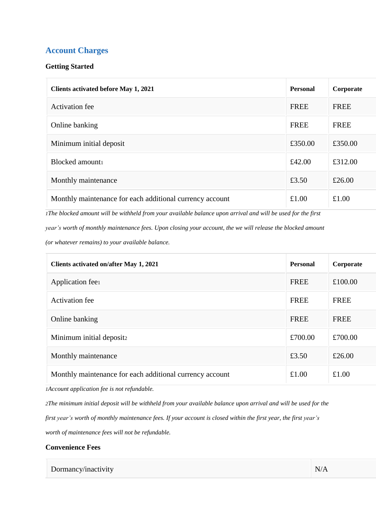# **Account Charges**

### **Getting Started**

| <b>Clients activated before May 1, 2021</b>              | <b>Personal</b> | Corporate   |
|----------------------------------------------------------|-----------------|-------------|
| <b>Activation</b> fee                                    | <b>FREE</b>     | <b>FREE</b> |
| Online banking                                           | <b>FREE</b>     | <b>FREE</b> |
| Minimum initial deposit                                  | £350.00         | £350.00     |
| Blocked amount                                           | £42.00          | £312.00     |
| Monthly maintenance                                      | £3.50           | £26.00      |
| Monthly maintenance for each additional currency account | £1.00           | £1.00       |

1The blocked amount will be withheld from your available balance upon arrival and will be used for the first year's worth of monthly maintenance fees. Upon closing your account, the we will release the blocked amount *(or whatever remains) to your available balance.*

| Clients activated on/after May 1, 2021                   | <b>Personal</b> | Corporate   |
|----------------------------------------------------------|-----------------|-------------|
| Application feel                                         | <b>FREE</b>     | £100.00     |
| Activation fee                                           | <b>FREE</b>     | <b>FREE</b> |
| Online banking                                           | <b>FREE</b>     | <b>FREE</b> |
| Minimum initial deposit2                                 | £700.00         | £700.00     |
| Monthly maintenance                                      | £3.50           | £26.00      |
| Monthly maintenance for each additional currency account | £1.00           | £1.00       |

*1Account application fee is not refundable.*

2The minimum initial deposit will be withheld from your available balance upon arrival and will be used for the first year's worth of monthly maintenance fees. If your account is closed within the first year, the first year's *worth of maintenance fees will not be refundable.*

#### **Convenience Fees**

Dormancy/inactivity N/A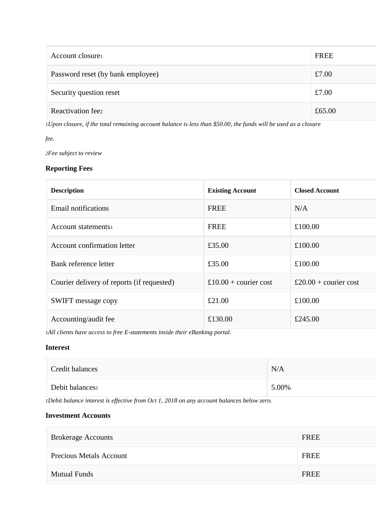| Account closure                   | <b>FREE</b> |
|-----------------------------------|-------------|
| Password reset (by bank employee) | £7.00       |
| Security question reset           | £7.00       |
| Reactivation feez                 | £65.00      |

1Upon closure, if the total remaining account balance is less than \$50.00, the funds will be used as a closure

*fee.*

*2Fee subject to review*

## **Reporting Fees**

| <b>Description</b>                         | <b>Existing Account</b> | <b>Closed Account</b> |
|--------------------------------------------|-------------------------|-----------------------|
| Email notifications                        | <b>FREE</b>             | N/A                   |
| Account statements                         | <b>FREE</b>             | £100.00               |
| <b>Account confirmation letter</b>         | £35.00                  | £100.00               |
| Bank reference letter                      | £35.00                  | £100.00               |
| Courier delivery of reports (if requested) | £10.00 + courier cost   | £20.00 + courier cost |
| <b>SWIFT</b> message copy                  | £21.00                  | £100.00               |
| Accounting/audit fee                       | £130.00                 | £245.00               |

*1All clients have access to free E-statements inside their eBanking portal.*

#### **Interest**

| Credit balances | N/A   |
|-----------------|-------|
| Debit balances  | 5.00% |

*1Debit balance interest is effective from Oct 1, 2018 on any account balances below zero.*

### **Investment Accounts**

| <b>Brokerage Accounts</b>      | <b>FREE</b> |
|--------------------------------|-------------|
| <b>Precious Metals Account</b> | FREE        |
| <b>Mutual Funds</b>            | <b>FREE</b> |